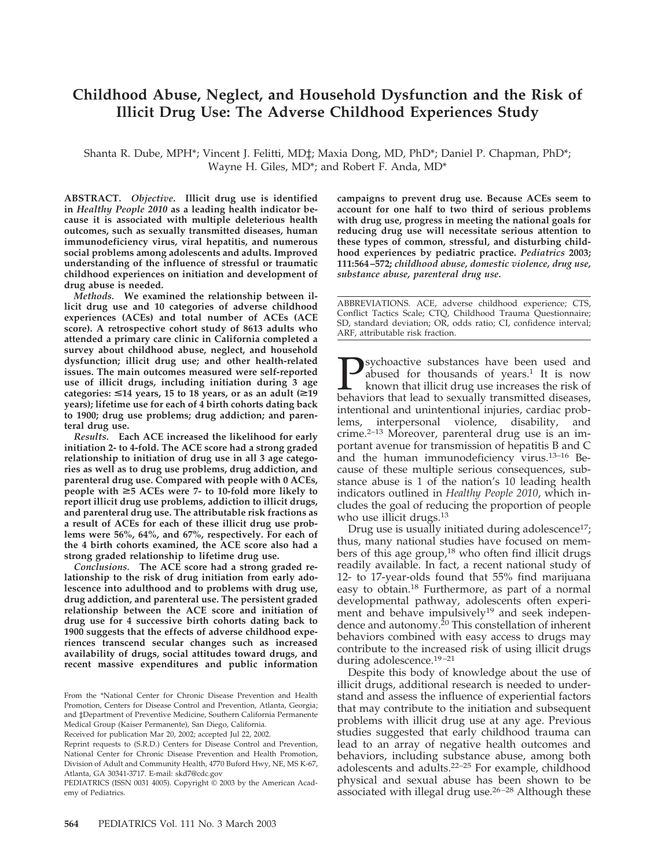# **Childhood Abuse, Neglect, and Household Dysfunction and the Risk of Illicit Drug Use: The Adverse Childhood Experiences Study**

Shanta R. Dube, MPH\*; Vincent J. Felitti, MD‡; Maxia Dong, MD, PhD\*; Daniel P. Chapman, PhD\*; Wayne H. Giles, MD\*; and Robert F. Anda, MD\*

**ABSTRACT.** *Objective.* **Illicit drug use is identified in** *Healthy People 2010* **as a leading health indicator because it is associated with multiple deleterious health outcomes, such as sexually transmitted diseases, human immunodeficiency virus, viral hepatitis, and numerous social problems among adolescents and adults. Improved understanding of the influence of stressful or traumatic childhood experiences on initiation and development of drug abuse is needed.**

*Methods.* **We examined the relationship between illicit drug use and 10 categories of adverse childhood experiences (ACEs) and total number of ACEs (ACE score). A retrospective cohort study of 8613 adults who attended a primary care clinic in California completed a survey about childhood abuse, neglect, and household dysfunction; illicit drug use; and other health-related issues. The main outcomes measured were self-reported use of illicit drugs, including initiation during 3 age** categories:  $\leq 14$  years, 15 to 18 years, or as an adult ( $\geq 19$ **years); lifetime use for each of 4 birth cohorts dating back to 1900; drug use problems; drug addiction; and parenteral drug use.**

*Results.* **Each ACE increased the likelihood for early initiation 2- to 4-fold. The ACE score had a strong graded relationship to initiation of drug use in all 3 age categories as well as to drug use problems, drug addiction, and parenteral drug use. Compared with people with 0 ACEs, people with** >**5 ACEs were 7- to 10-fold more likely to report illicit drug use problems, addiction to illicit drugs, and parenteral drug use. The attributable risk fractions as a result of ACEs for each of these illicit drug use problems were 56%, 64%, and 67%, respectively. For each of the 4 birth cohorts examined, the ACE score also had a strong graded relationship to lifetime drug use.**

*Conclusions.* **The ACE score had a strong graded relationship to the risk of drug initiation from early adolescence into adulthood and to problems with drug use, drug addiction, and parenteral use. The persistent graded relationship between the ACE score and initiation of drug use for 4 successive birth cohorts dating back to 1900 suggests that the effects of adverse childhood experiences transcend secular changes such as increased availability of drugs, social attitudes toward drugs, and recent massive expenditures and public information**

From the \*National Center for Chronic Disease Prevention and Health Promotion, Centers for Disease Control and Prevention, Atlanta, Georgia; and ‡Department of Preventive Medicine, Southern California Permanente Medical Group (Kaiser Permanente), San Diego, California.

Received for publication Mar 20, 2002; accepted Jul 22, 2002.

Reprint requests to (S.R.D.) Centers for Disease Control and Prevention, National Center for Chronic Disease Prevention and Health Promotion, Division of Adult and Community Health, 4770 Buford Hwy, NE, MS K-67, Atlanta, GA 30341-3717. E-mail: skd7@cdc.gov

PEDIATRICS (ISSN 0031 4005). Copyright © 2003 by the American Academy of Pediatrics.

**campaigns to prevent drug use. Because ACEs seem to account for one half to two third of serious problems with drug use, progress in meeting the national goals for reducing drug use will necessitate serious attention to these types of common, stressful, and disturbing childhood experiences by pediatric practice.** *Pediatrics* **2003; 111:564–572;** *childhood abuse, domestic violence, drug use, substance abuse, parenteral drug use.*

ABBREVIATIONS. ACE, adverse childhood experience; CTS, Conflict Tactics Scale; CTQ, Childhood Trauma Questionnaire; SD, standard deviation; OR, odds ratio; CI, confidence interval; ARF, attributable risk fraction.

**P**sychoactive substances have been used and abused for thousands of years.<sup>1</sup> It is now known that illicit drug use increases the risk of behaviors that lead to sexually transmitted diseases, abused for thousands of years.<sup>1</sup> It is now known that illicit drug use increases the risk of intentional and unintentional injuries, cardiac problems, interpersonal violence, disability, and crime.<sup>2-13</sup> Moreover, parenteral drug use is an important avenue for transmission of hepatitis B and C and the human immunodeficiency virus. $13-16$  Because of these multiple serious consequences, substance abuse is 1 of the nation's 10 leading health indicators outlined in *Healthy People 2010*, which includes the goal of reducing the proportion of people who use illicit drugs.<sup>13</sup>

Drug use is usually initiated during adolescence<sup>17</sup>; thus, many national studies have focused on members of this age group,<sup>18</sup> who often find illicit drugs readily available. In fact, a recent national study of 12- to 17-year-olds found that 55% find marijuana easy to obtain.<sup>18</sup> Furthermore, as part of a normal developmental pathway, adolescents often experiment and behave impulsively<sup>19</sup> and seek independence and autonomy.<sup>20</sup> This constellation of inherent behaviors combined with easy access to drugs may contribute to the increased risk of using illicit drugs during adolescence.<sup>19-21</sup>

Despite this body of knowledge about the use of illicit drugs, additional research is needed to understand and assess the influence of experiential factors that may contribute to the initiation and subsequent problems with illicit drug use at any age. Previous studies suggested that early childhood trauma can lead to an array of negative health outcomes and behaviors, including substance abuse, among both adolescents and adults.22–25 For example, childhood physical and sexual abuse has been shown to be associated with illegal drug use. $26-28$  Although these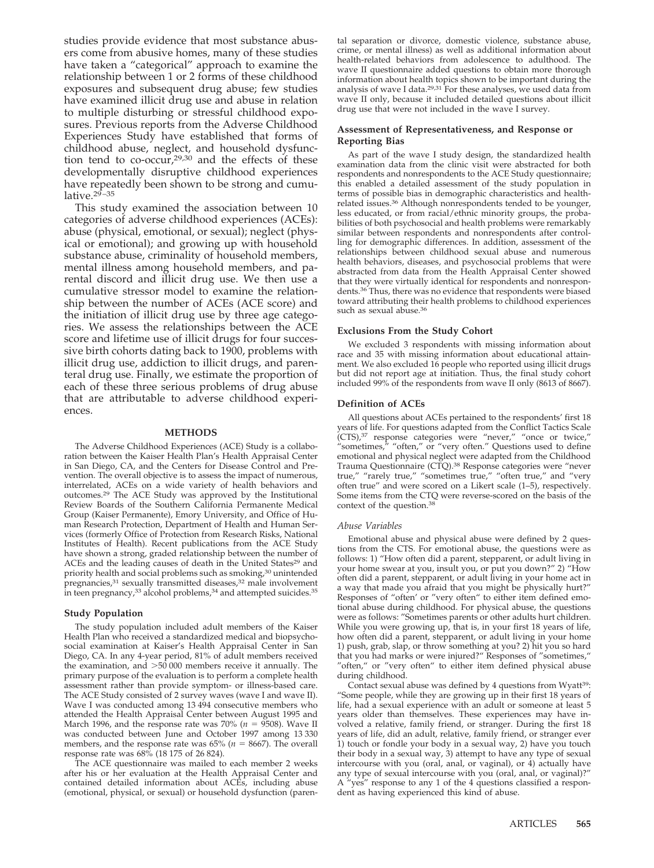studies provide evidence that most substance abusers come from abusive homes, many of these studies have taken a "categorical" approach to examine the relationship between 1 or 2 forms of these childhood exposures and subsequent drug abuse; few studies have examined illicit drug use and abuse in relation to multiple disturbing or stressful childhood exposures. Previous reports from the Adverse Childhood Experiences Study have established that forms of childhood abuse, neglect, and household dysfunction tend to  $co-occur, <sup>29,30</sup>$  and the effects of these developmentally disruptive childhood experiences have repeatedly been shown to be strong and cumulative. $29 - 35$ 

This study examined the association between 10 categories of adverse childhood experiences (ACEs): abuse (physical, emotional, or sexual); neglect (physical or emotional); and growing up with household substance abuse, criminality of household members, mental illness among household members, and parental discord and illicit drug use. We then use a cumulative stressor model to examine the relationship between the number of ACEs (ACE score) and the initiation of illicit drug use by three age categories. We assess the relationships between the ACE score and lifetime use of illicit drugs for four successive birth cohorts dating back to 1900, problems with illicit drug use, addiction to illicit drugs, and parenteral drug use. Finally, we estimate the proportion of each of these three serious problems of drug abuse that are attributable to adverse childhood experiences.

#### **METHODS**

The Adverse Childhood Experiences (ACE) Study is a collaboration between the Kaiser Health Plan's Health Appraisal Center in San Diego, CA, and the Centers for Disease Control and Prevention. The overall objective is to assess the impact of numerous, interrelated, ACEs on a wide variety of health behaviors and outcomes.29 The ACE Study was approved by the Institutional Review Boards of the Southern California Permanente Medical Group (Kaiser Permanente), Emory University, and Office of Human Research Protection, Department of Health and Human Services (formerly Office of Protection from Research Risks, National Institutes of Health). Recent publications from the ACE Study have shown a strong, graded relationship between the number of ACEs and the leading causes of death in the United States<sup>29</sup> and priority health and social problems such as smoking,<sup>30</sup> unintended pregnancies,<sup>31</sup> sexually transmitted diseases,<sup>32</sup> male involvement in teen pregnancy,  $33$  alcohol problems,  $34$  and attempted suicides.  $35$ 

#### **Study Population**

The study population included adult members of the Kaiser Health Plan who received a standardized medical and biopsychosocial examination at Kaiser's Health Appraisal Center in San Diego, CA. In any 4-year period, 81% of adult members received the examination, and  $>50 000$  members receive it annually. The primary purpose of the evaluation is to perform a complete health assessment rather than provide symptom- or illness-based care. The ACE Study consisted of 2 survey waves (wave I and wave II). Wave I was conducted among 13 494 consecutive members who attended the Health Appraisal Center between August 1995 and March 1996, and the response rate was  $70\%$  ( $n = 9508$ ). Wave II was conducted between June and October 1997 among 13 330 members, and the response rate was  $65\%$  ( $n = 8667$ ). The overall response rate was  $68\%$  (18 175 of 26 824).

The ACE questionnaire was mailed to each member 2 weeks after his or her evaluation at the Health Appraisal Center and contained detailed information about ACEs, including abuse (emotional, physical, or sexual) or household dysfunction (paren-

tal separation or divorce, domestic violence, substance abuse, crime, or mental illness) as well as additional information about health-related behaviors from adolescence to adulthood. The wave II questionnaire added questions to obtain more thorough information about health topics shown to be important during the analysis of wave I data.<sup>29,31</sup> For these analyses, we used data from wave II only, because it included detailed questions about illicit drug use that were not included in the wave I survey.

# **Assessment of Representativeness, and Response or Reporting Bias**

As part of the wave I study design, the standardized health examination data from the clinic visit were abstracted for both respondents and nonrespondents to the ACE Study questionnaire; this enabled a detailed assessment of the study population in terms of possible bias in demographic characteristics and healthrelated issues.<sup>36</sup> Although nonrespondents tended to be younger, less educated, or from racial/ethnic minority groups, the probabilities of both psychosocial and health problems were remarkably similar between respondents and nonrespondents after controlling for demographic differences. In addition, assessment of the relationships between childhood sexual abuse and numerous health behaviors, diseases, and psychosocial problems that were abstracted from data from the Health Appraisal Center showed that they were virtually identical for respondents and nonrespondents.36 Thus, there was no evidence that respondents were biased toward attributing their health problems to childhood experiences such as sexual abuse.<sup>36</sup>

### **Exclusions From the Study Cohort**

We excluded 3 respondents with missing information about race and 35 with missing information about educational attainment. We also excluded 16 people who reported using illicit drugs but did not report age at initiation. Thus, the final study cohort included 99% of the respondents from wave II only (8613 of 8667).

#### **Definition of ACEs**

All questions about ACEs pertained to the respondents' first 18 years of life. For questions adapted from the Conflict Tactics Scale (CTS),37 response categories were "never," "once or twice," "sometimes," "often," or "very often." Questions used to define emotional and physical neglect were adapted from the Childhood Trauma Questionnaire (CTQ).38 Response categories were "never true," "rarely true," "sometimes true," "often true," and "very often true" and were scored on a Likert scale (1–5), respectively. Some items from the CTQ were reverse-scored on the basis of the context of the question.<sup>38</sup>

### *Abuse Variables*

Emotional abuse and physical abuse were defined by 2 questions from the CTS. For emotional abuse, the questions were as follows: 1) "How often did a parent, stepparent, or adult living in your home swear at you, insult you, or put you down?" 2) "How often did a parent, stepparent, or adult living in your home act in a way that made you afraid that you might be physically hurt?" Responses of "often' or "very often" to either item defined emotional abuse during childhood. For physical abuse, the questions were as follows: "Sometimes parents or other adults hurt children. While you were growing up, that is, in your first 18 years of life, how often did a parent, stepparent, or adult living in your home 1) push, grab, slap, or throw something at you? 2) hit you so hard that you had marks or were injured?" Responses of "sometimes," "often," or "very often" to either item defined physical abuse during childhood.

Contact sexual abuse was defined by 4 questions from Wyatt<sup>39</sup>: "Some people, while they are growing up in their first 18 years of life, had a sexual experience with an adult or someone at least 5 years older than themselves. These experiences may have involved a relative, family friend, or stranger. During the first 18 years of life, did an adult, relative, family friend, or stranger ever 1) touch or fondle your body in a sexual way, 2) have you touch their body in a sexual way, 3) attempt to have any type of sexual intercourse with you (oral, anal, or vaginal), or 4) actually have any type of sexual intercourse with you (oral, anal, or vaginal)?" A "yes" response to any 1 of the 4 questions classified a respondent as having experienced this kind of abuse.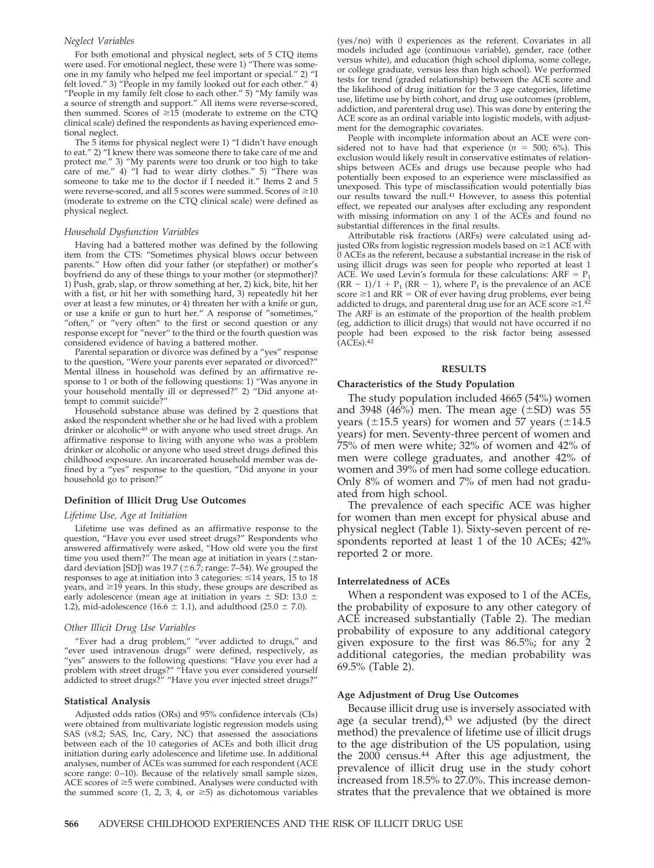# *Neglect Variables*

For both emotional and physical neglect, sets of 5 CTQ items were used. For emotional neglect, these were 1) "There was someone in my family who helped me feel important or special." 2) "I felt loved." 3) "People in my family looked out for each other." 4) "People in my family felt close to each other." 5) "My family was a source of strength and support." All items were reverse-scored, then summed. Scores of  $\geq$ 15 (moderate to extreme on the CTQ clinical scale) defined the respondents as having experienced emotional neglect.

The 5 items for physical neglect were 1) "I didn't have enough to eat." 2) "I knew there was someone there to take care of me and protect me." 3) "My parents were too drunk or too high to take care of me." 4) "I had to wear dirty clothes." 5) "There was someone to take me to the doctor if  $I$  needed it." Items 2 and 5 were reverse-scored, and all 5 scores were summed. Scores of  $\geq 10$ (moderate to extreme on the CTQ clinical scale) were defined as physical neglect.

## *Household Dysfunction Variables*

Having had a battered mother was defined by the following item from the CTS: "Sometimes physical blows occur between parents." How often did your father (or stepfather) or mother's boyfriend do any of these things to your mother (or stepmother)? 1) Push, grab, slap, or throw something at her, 2) kick, bite, hit her with a fist, or hit her with something hard, 3) repeatedly hit her over at least a few minutes, or 4) threaten her with a knife or gun, or use a knife or gun to hurt her." A response of "sometimes," "often," or "very often" to the first or second question or any response except for "never" to the third or the fourth question was considered evidence of having a battered mother.

Parental separation or divorce was defined by a "yes" response to the question, "Were your parents ever separated or divorced?" Mental illness in household was defined by an affirmative response to 1 or both of the following questions: 1) "Was anyone in your household mentally ill or depressed?" 2) "Did anyone attempt to commit suicide?"

Household substance abuse was defined by 2 questions that asked the respondent whether she or he had lived with a problem drinker or alcoholic<sup>40</sup> or with anyone who used street drugs. An affirmative response to living with anyone who was a problem drinker or alcoholic or anyone who used street drugs defined this childhood exposure. An incarcerated household member was defined by a "yes" response to the question, "Did anyone in your household go to prison?"

## **Definition of Illicit Drug Use Outcomes**

## *Lifetime Use, Age at Initiation*

Lifetime use was defined as an affirmative response to the question, "Have you ever used street drugs?" Respondents who answered affirmatively were asked, "How old were you the first time you used them?" The mean age at initiation in years ( $\pm$ standard deviation [SD]) was 19.7 ( $\pm$ 6.7; range: 7-54). We grouped the responses to age at initiation into 3 categories:  $\leq$ 14 years, 15 to 18 years, and  $\geq$ 19 years. In this study, these groups are described as early adolescence (mean age at initiation in years  $\pm$  SD: 13.0  $\pm$ 1.2), mid-adolescence (16.6  $\pm$  1.1), and adulthood (25.0  $\pm$  7.0).

#### *Other Illicit Drug Use Variables*

"Ever had a drug problem," "ever addicted to drugs," and "ever used intravenous drugs" were defined, respectively, as "yes" answers to the following questions: "Have you ever had a problem with street drugs?" "Have you ever considered yourself addicted to street drugs?" "Have you ever injected street drugs?"

#### **Statistical Analysis**

Adjusted odds ratios (ORs) and 95% confidence intervals (CIs) were obtained from multivariate logistic regression models using SAS (v8.2; SAS, Inc, Cary, NC) that assessed the associations between each of the 10 categories of ACEs and both illicit drug initiation during early adolescence and lifetime use. In additional analyses, number of ACEs was summed for each respondent (ACE score range: 0–10). Because of the relatively small sample sizes, ACE scores of  $\geq$ 5 were combined. Analyses were conducted with the summed score (1, 2, 3, 4, or  $\geq$ 5) as dichotomous variables

(yes/no) with 0 experiences as the referent. Covariates in all models included age (continuous variable), gender, race (other versus white), and education (high school diploma, some college, or college graduate, versus less than high school). We performed tests for trend (graded relationship) between the ACE score and the likelihood of drug initiation for the 3 age categories, lifetime use, lifetime use by birth cohort, and drug use outcomes (problem, addiction, and parenteral drug use). This was done by entering the ACE score as an ordinal variable into logistic models, with adjustment for the demographic covariates.

People with incomplete information about an ACE were considered not to have had that experience  $(n = 500; 6\%)$ . This exclusion would likely result in conservative estimates of relationships between ACEs and drugs use because people who had potentially been exposed to an experience were misclassified as unexposed. This type of misclassification would potentially bias our results toward the null.41 However, to assess this potential effect, we repeated our analyses after excluding any respondent with missing information on any 1 of the ACEs and found no substantial differences in the final results.

Attributable risk fractions (ARFs) were calculated using adjusted ORs from logistic regression models based on  $\geq$  1 ACE with 0 ACEs as the referent, because a substantial increase in the risk of using illicit drugs was seen for people who reported at least 1 ACE. We used Levin's formula for these calculations:  $ARF = P_1$  $(RR - 1)/1 + P_1 (RR - 1)$ , where  $P_1$  is the prevalence of an ACE score  $\geq$ 1 and RR = OR of ever having drug problems, ever being addicted to drugs, and parenteral drug use for an ACE score  $\geq 1.4$ The ARF is an estimate of the proportion of the health problem (eg, addiction to illicit drugs) that would not have occurred if no people had been exposed to the risk factor being assessed  $(ACEs).<sup>42</sup>$ 

## **RESULTS**

## **Characteristics of the Study Population**

The study population included 4665 (54%) women and 3948 (46%) men. The mean age  $(\pm SD)$  was 55 years ( $\pm$ 15.5 years) for women and 57 years ( $\pm$ 14.5 years) for men. Seventy-three percent of women and 75% of men were white; 32% of women and 42% of men were college graduates, and another 42% of women and 39% of men had some college education. Only 8% of women and 7% of men had not graduated from high school.

The prevalence of each specific ACE was higher for women than men except for physical abuse and physical neglect (Table 1). Sixty-seven percent of respondents reported at least 1 of the 10 ACEs; 42% reported 2 or more.

## **Interrelatedness of ACEs**

When a respondent was exposed to 1 of the ACEs, the probability of exposure to any other category of ACE increased substantially (Table 2). The median probability of exposure to any additional category given exposure to the first was 86.5%; for any 2 additional categories, the median probability was 69.5% (Table 2).

## **Age Adjustment of Drug Use Outcomes**

Because illicit drug use is inversely associated with age (a secular trend), $43$  we adjusted (by the direct method) the prevalence of lifetime use of illicit drugs to the age distribution of the US population, using the 2000 census.<sup>44</sup> After this age adjustment, the prevalence of illicit drug use in the study cohort increased from 18.5% to 27.0%. This increase demonstrates that the prevalence that we obtained is more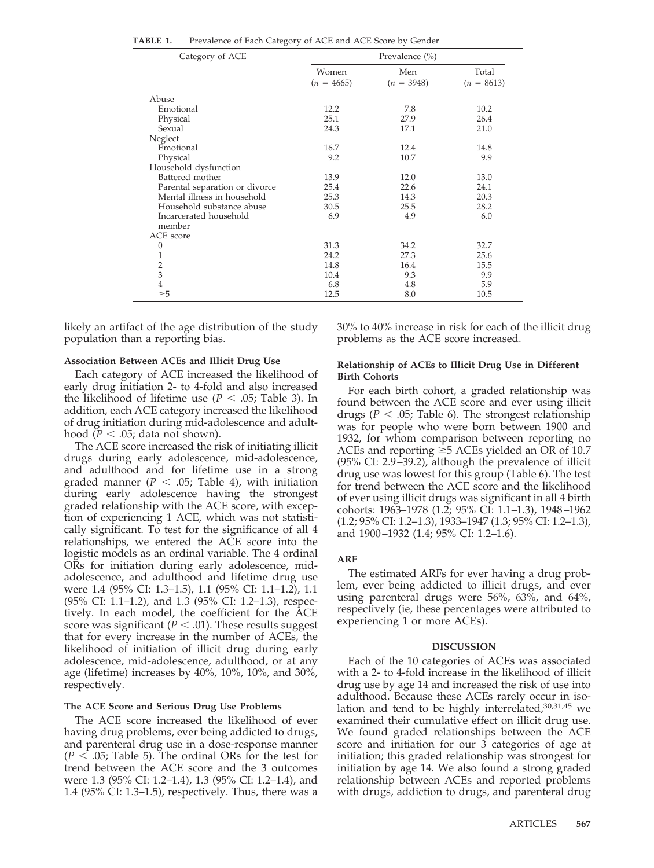| Category of ACE                | Prevalence $(\% )$    |                     |                       |  |  |  |  |
|--------------------------------|-----------------------|---------------------|-----------------------|--|--|--|--|
|                                | Women<br>$(n = 4665)$ | Men<br>$(n = 3948)$ | Total<br>$(n = 8613)$ |  |  |  |  |
| Abuse                          |                       |                     |                       |  |  |  |  |
| Emotional                      | 12.2                  | 7.8                 | 10.2                  |  |  |  |  |
| Physical                       | 25.1                  | 27.9                | 26.4                  |  |  |  |  |
| Sexual                         | 24.3                  | 17.1                | 21.0                  |  |  |  |  |
| Neglect                        |                       |                     |                       |  |  |  |  |
| Emotional                      | 16.7                  | 12.4                | 14.8                  |  |  |  |  |
| Physical                       | 9.2                   | 10.7                | 9.9                   |  |  |  |  |
| Household dysfunction          |                       |                     |                       |  |  |  |  |
| Battered mother                | 13.9                  | 12.0                | 13.0                  |  |  |  |  |
| Parental separation or divorce | 25.4                  | 22.6                | 24.1                  |  |  |  |  |
| Mental illness in household    | 25.3                  | 14.3                | 20.3                  |  |  |  |  |
| Household substance abuse      | 30.5                  | 25.5                | 28.2                  |  |  |  |  |
| Incarcerated household         | 6.9                   | 4.9                 | 6.0                   |  |  |  |  |
| member                         |                       |                     |                       |  |  |  |  |
| ACE score                      |                       |                     |                       |  |  |  |  |
| $\boldsymbol{0}$               | 31.3                  | 34.2                | 32.7                  |  |  |  |  |
| 1                              | 24.2                  | 27.3                | 25.6                  |  |  |  |  |
| $\overline{2}$                 | 14.8                  | 16.4                | 15.5                  |  |  |  |  |
| 3                              | 10.4                  | 9.3                 | 9.9                   |  |  |  |  |
| $\overline{4}$                 | 6.8                   | 4.8                 | 5.9                   |  |  |  |  |
| $\geq 5$                       | 12.5                  | 8.0                 | 10.5                  |  |  |  |  |

| TABLE 1. | Prevalence of Each Category of ACE and ACE Score by Gender |  |
|----------|------------------------------------------------------------|--|
|----------|------------------------------------------------------------|--|

likely an artifact of the age distribution of the study population than a reporting bias.

# **Association Between ACEs and Illicit Drug Use**

Each category of ACE increased the likelihood of early drug initiation 2- to 4-fold and also increased the likelihood of lifetime use  $(P < .05;$  Table 3). In addition, each ACE category increased the likelihood of drug initiation during mid-adolescence and adulthood ( $P < .05$ ; data not shown).

The ACE score increased the risk of initiating illicit drugs during early adolescence, mid-adolescence, and adulthood and for lifetime use in a strong graded manner ( $P < .05$ ; Table 4), with initiation during early adolescence having the strongest graded relationship with the ACE score, with exception of experiencing 1 ACE, which was not statistically significant. To test for the significance of all 4 relationships, we entered the ACE score into the logistic models as an ordinal variable. The 4 ordinal ORs for initiation during early adolescence, midadolescence, and adulthood and lifetime drug use were 1.4 (95% CI: 1.3–1.5), 1.1 (95% CI: 1.1–1.2), 1.1 (95% CI: 1.1–1.2), and 1.3 (95% CI: 1.2–1.3), respectively. In each model, the coefficient for the ACE score was significant ( $P < .01$ ). These results suggest that for every increase in the number of ACEs, the likelihood of initiation of illicit drug during early adolescence, mid-adolescence, adulthood, or at any age (lifetime) increases by 40%, 10%, 10%, and 30%, respectively.

# **The ACE Score and Serious Drug Use Problems**

The ACE score increased the likelihood of ever having drug problems, ever being addicted to drugs, and parenteral drug use in a dose-response manner  $(P < .05;$  Table 5). The ordinal ORs for the test for trend between the ACE score and the 3 outcomes were 1.3 (95% CI: 1.2–1.4), 1.3 (95% CI: 1.2–1.4), and 1.4 (95% CI: 1.3–1.5), respectively. Thus, there was a

30% to 40% increase in risk for each of the illicit drug problems as the ACE score increased.

# **Relationship of ACEs to Illicit Drug Use in Different Birth Cohorts**

For each birth cohort, a graded relationship was found between the ACE score and ever using illicit drugs ( $P < .05$ ; Table 6). The strongest relationship was for people who were born between 1900 and 1932, for whom comparison between reporting no ACEs and reporting  $\geq$  5 ACEs yielded an OR of 10.7 (95% CI: 2.9–39.2), although the prevalence of illicit drug use was lowest for this group (Table 6). The test for trend between the ACE score and the likelihood of ever using illicit drugs was significant in all 4 birth cohorts: 1963–1978 (1.2; 95% CI: 1.1–1.3), 1948–1962 (1.2; 95% CI: 1.2–1.3), 1933–1947 (1.3; 95% CI: 1.2–1.3), and 1900–1932 (1.4; 95% CI: 1.2–1.6).

# **ARF**

The estimated ARFs for ever having a drug problem, ever being addicted to illicit drugs, and ever using parenteral drugs were 56%, 63%, and 64%, respectively (ie, these percentages were attributed to experiencing 1 or more ACEs).

# **DISCUSSION**

Each of the 10 categories of ACEs was associated with a 2- to 4-fold increase in the likelihood of illicit drug use by age 14 and increased the risk of use into adulthood. Because these ACEs rarely occur in isolation and tend to be highly interrelated, $30,31,45$  we examined their cumulative effect on illicit drug use. We found graded relationships between the ACE score and initiation for our 3 categories of age at initiation; this graded relationship was strongest for initiation by age 14. We also found a strong graded relationship between ACEs and reported problems with drugs, addiction to drugs, and parenteral drug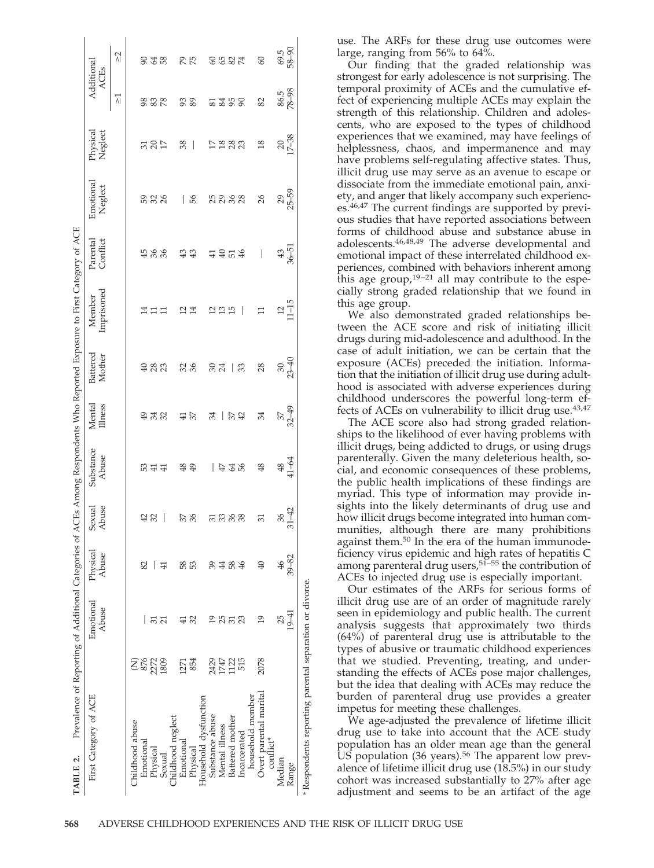| TABLE 2.                                                |          |                    |                   |                          |                    |                          |                          | Prevalence of Reporting of Additional Categories of ACEs Among Respondents Who Reported Exposure to First Category of ACE |                      |                      |                          |                           |                 |
|---------------------------------------------------------|----------|--------------------|-------------------|--------------------------|--------------------|--------------------------|--------------------------|---------------------------------------------------------------------------------------------------------------------------|----------------------|----------------------|--------------------------|---------------------------|-----------------|
| First Category of ACE                                   |          | Emotional<br>Abuse | Physical<br>Abuse | Abuse<br>Sexual          | Substance<br>Abuse | Illness<br>Menta         | Battered<br>Mother       | Imprisoned<br>Member                                                                                                      | Conflict<br>Parental | Emotional<br>Neglect | Neglect<br>Physica       | Additional<br><b>ACEs</b> |                 |
|                                                         |          |                    |                   |                          |                    |                          |                          |                                                                                                                           |                      |                      |                          | $\overline{\lambda}$      | $\widetilde{=}$ |
| Childhood abuse                                         | Eg       |                    |                   |                          |                    |                          |                          |                                                                                                                           |                      |                      |                          |                           |                 |
| Emotional                                               |          | I                  | 82                |                          |                    |                          |                          | 14                                                                                                                        |                      |                      |                          |                           |                 |
| Physical                                                | 2272     |                    |                   | 42                       | 13 ± ±             | <b>932</b>               | <b>មិន</b> ខ             |                                                                                                                           | <b>\$ \$ \$</b>      | 52<br>526            | 302                      | <b>888</b>                | 8428            |
| Sexual                                                  | 1809     | $\overline{5}$     | 근                 | $\overline{\phantom{a}}$ |                    |                          |                          | $\Xi$                                                                                                                     |                      |                      |                          |                           |                 |
| Childhood neglect                                       |          |                    |                   |                          |                    |                          |                          |                                                                                                                           |                      |                      |                          |                           |                 |
| Emotional                                               | 1271     | $\pm$              | 58                |                          | $48$               |                          |                          | $\overline{c}$                                                                                                            |                      | L                    | 38                       |                           |                 |
| Physical                                                | 854      | 32                 | 53                | 37                       | $\ddot{e}$         | $41$<br>37               | 38 <sup>o</sup>          | $\overline{14}$                                                                                                           | 43                   | 56                   | $\overline{\phantom{a}}$ | <b>SS</b>                 | <b>PP</b><br>75 |
| Household dysfunction                                   |          |                    |                   |                          |                    |                          |                          |                                                                                                                           |                      |                      |                          |                           |                 |
| Substance abuse                                         | 2429     |                    | 39                |                          | I                  | 34                       |                          |                                                                                                                           |                      |                      |                          |                           |                 |
| Mental illness                                          | $1747\,$ |                    | $\ddot{4}$        |                          |                    | $\overline{\phantom{a}}$ | 304                      | 225                                                                                                                       |                      |                      |                          |                           |                 |
| Battered mother                                         | 1122     | 2872               | 58                | 5388                     | 778                | 37                       | $\overline{\phantom{a}}$ |                                                                                                                           | 4454                 | 5388                 | 12880                    | 5358                      | 8524            |
| Incarcerated                                            | 515      |                    | 46                |                          |                    |                          | 33                       | I                                                                                                                         |                      |                      |                          |                           |                 |
| household member                                        |          |                    |                   |                          |                    |                          |                          |                                                                                                                           |                      |                      |                          |                           |                 |
| Overt parental marital                                  | 2078     | $\overline{19}$    | $\sqrt{4}$        | 51                       | $\frac{8}{3}$      | 34                       | 28                       |                                                                                                                           | I                    | 26                   | $\frac{8}{2}$            | 82                        | $\odot$         |
| conflict <sup>*</sup>                                   |          |                    |                   |                          |                    |                          |                          |                                                                                                                           |                      |                      |                          |                           |                 |
| Median                                                  |          | 25                 | 46                | 36                       | $41 - 64$          | $37$<br>$32-49$          | $30$<br>$23-40$          | $12^{12}_{11-15}$                                                                                                         | $43$<br>36–51        | $29$<br>$25 - 59$    | $\frac{20}{17 - 38}$     | 86.5<br>78–98             | $69.5$<br>58-90 |
| Range                                                   |          | $19 - 41$          | $39 - 82$         | $31 - 42$                |                    |                          |                          |                                                                                                                           |                      |                      |                          |                           |                 |
| * Respondents reporting parental separation or divorce. |          |                    |                   |                          |                    |                          |                          |                                                                                                                           |                      |                      |                          |                           |                 |

use. The ARFs for these drug use outcomes were large, ranging from 56% to  $64\%$ .

Our finding that the graded relationship was strongest for early adolescence is not surprising. The temporal proximity of ACEs and the cumulative effect of experiencing multiple ACEs may explain the strength of this relationship. Children and adolescents, who are exposed to the types of childhood experiences that we examined, may have feelings of helplessness, chaos, and impermanence and may have problems self-regulating affective states. Thus, illicit drug use may serve as an avenue to escape or dissociate from the immediate emotional pain, anxiety, and anger that likely accompany such experiences.46,47 The current findings are supported by previous studies that have reported associations between forms of childhood abuse and substance abuse in adolescents.46,48,49 The adverse developmental and emotional impact of these interrelated childhood experiences, combined with behaviors inherent among this age group,  $19-21$  all may contribute to the especially strong graded relationship that we found in this age group.

We also demonstrated graded relationships between the ACE score and risk of initiating illicit drugs during mid-adolescence and adulthood. In the case of adult initiation, we can be certain that the exposure (ACEs) preceded the initiation. Information that the initiation of illicit drug use during adulthood is associated with adverse experiences during childhood underscores the powerful long-term effects of ACEs on vulnerability to illicit drug use.<sup>43,47</sup>

The ACE score also had strong graded relationships to the likelihood of ever having problems with illicit drugs, being addicted to drugs, or using drugs parenterally. Given the many deleterious health, social, and economic consequences of these problems, the public health implications of these findings are myriad. This type of information may provide insights into the likely determinants of drug use and how illicit drugs become integrated into human communities, although there are many prohibitions against them.<sup>50</sup> In the era of the human immunodeficiency virus epidemic and high rates of hepatitis C among parenteral drug users,<sup>51–55</sup> the contribution of ACEs to injected drug use is especially important.

Our estimates of the ARFs for serious forms of illicit drug use are of an order of magnitude rarely seen in epidemiology and public health. The current analysis suggests that approximately two thirds (64%) of parenteral drug use is attributable to the types of abusive or traumatic childhood experiences that we studied. Preventing, treating, and understanding the effects of ACEs pose major challenges, but the idea that dealing with ACEs may reduce the burden of parenteral drug use provides a greater impetus for meeting these challenges.

We age-adjusted the prevalence of lifetime illicit drug use to take into account that the ACE study population has an older mean age than the general US population (36 years).<sup>56</sup> The apparent low prevalence of lifetime illicit drug use (18.5%) in our study cohort was increased substantially to 27% after age adjustment and seems to be an artifact of the age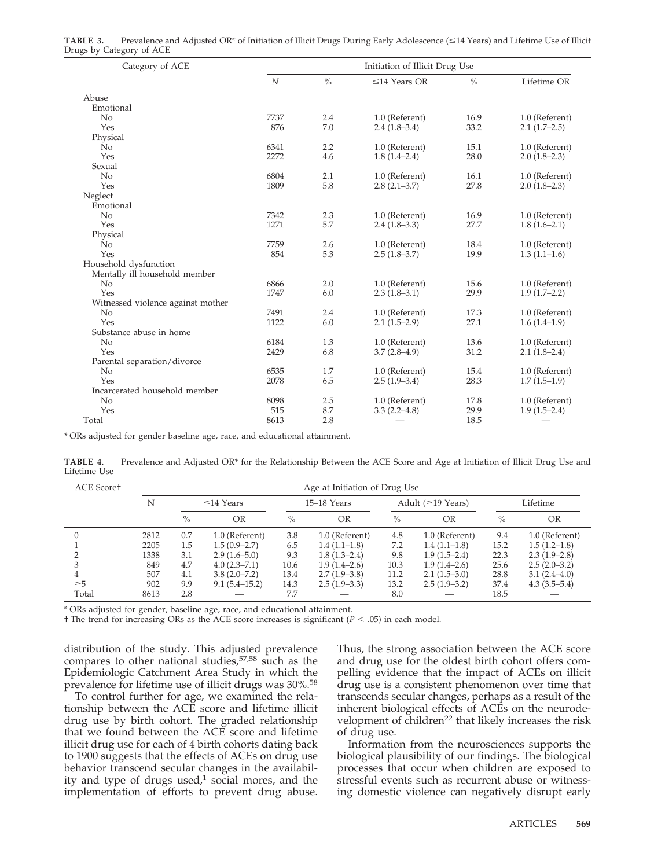| Category of ACE                   | Initiation of Illicit Drug Use |               |                    |               |                |  |  |  |
|-----------------------------------|--------------------------------|---------------|--------------------|---------------|----------------|--|--|--|
|                                   | N                              | $\frac{0}{0}$ | $\leq$ 14 Years OR | $\frac{0}{0}$ | Lifetime OR    |  |  |  |
| Abuse                             |                                |               |                    |               |                |  |  |  |
| Emotional                         |                                |               |                    |               |                |  |  |  |
| N <sub>o</sub>                    | 7737                           | 2.4           | 1.0 (Referent)     | 16.9          | 1.0 (Referent) |  |  |  |
| Yes                               | 876                            | 7.0           | $2.4(1.8-3.4)$     | 33.2          | $2.1(1.7-2.5)$ |  |  |  |
| Physical                          |                                |               |                    |               |                |  |  |  |
| N <sub>o</sub>                    | 6341                           | 2.2           | 1.0 (Referent)     | 15.1          | 1.0 (Referent) |  |  |  |
| Yes                               | 2272                           | 4.6           | $1.8(1.4-2.4)$     | 28.0          | $2.0(1.8-2.3)$ |  |  |  |
| Sexual                            |                                |               |                    |               |                |  |  |  |
| No                                | 6804                           | 2.1           | 1.0 (Referent)     | 16.1          | 1.0 (Referent) |  |  |  |
| Yes                               | 1809                           | 5.8           | $2.8(2.1 - 3.7)$   | 27.8          | $2.0(1.8-2.3)$ |  |  |  |
| Neglect                           |                                |               |                    |               |                |  |  |  |
| Emotional                         |                                |               |                    |               |                |  |  |  |
| No                                | 7342                           | 2.3           | 1.0 (Referent)     | 16.9          | 1.0 (Referent) |  |  |  |
| Yes                               | 1271                           | 5.7           | $2.4(1.8-3.3)$     | 27.7          | $1.8(1.6-2.1)$ |  |  |  |
| Physical                          |                                |               |                    |               |                |  |  |  |
| No                                | 7759                           | 2.6           | 1.0 (Referent)     | 18.4          | 1.0 (Referent) |  |  |  |
| Yes                               | 854                            | 5.3           | $2.5(1.8-3.7)$     | 19.9          | $1.3(1.1-1.6)$ |  |  |  |
| Household dysfunction             |                                |               |                    |               |                |  |  |  |
| Mentally ill household member     |                                |               |                    |               |                |  |  |  |
| No                                | 6866                           | 2.0           | 1.0 (Referent)     | 15.6          | 1.0 (Referent) |  |  |  |
| Yes                               | 1747                           | 6.0           | $2.3(1.8-3.1)$     | 29.9          | $1.9(1.7-2.2)$ |  |  |  |
| Witnessed violence against mother |                                |               |                    |               |                |  |  |  |
| No                                | 7491                           | 2.4           | 1.0 (Referent)     | 17.3          | 1.0 (Referent) |  |  |  |
| Yes                               | 1122                           | 6.0           | $2.1(1.5-2.9)$     | 27.1          | $1.6(1.4-1.9)$ |  |  |  |
| Substance abuse in home           |                                |               |                    |               |                |  |  |  |
| No                                | 6184                           | 1.3           | 1.0 (Referent)     | 13.6          | 1.0 (Referent) |  |  |  |
| Yes                               | 2429                           | 6.8           | $3.7(2.8-4.9)$     | 31.2          | $2.1(1.8-2.4)$ |  |  |  |
| Parental separation/divorce       |                                |               |                    |               |                |  |  |  |
| No                                | 6535                           | 1.7           | 1.0 (Referent)     | 15.4          | 1.0 (Referent) |  |  |  |
| Yes                               | 2078                           | 6.5           | $2.5(1.9-3.4)$     | 28.3          | $1.7(1.5-1.9)$ |  |  |  |
| Incarcerated household member     |                                |               |                    |               |                |  |  |  |
| No                                | 8098                           | 2.5           | 1.0 (Referent)     | 17.8          | 1.0 (Referent) |  |  |  |
| Yes                               | 515                            | 8.7           | $3.3(2.2 - 4.8)$   | 29.9          | $1.9(1.5-2.4)$ |  |  |  |
| Total                             | 8613                           | 2.8           |                    | 18.5          |                |  |  |  |

TABLE 3. Prevalence and Adjusted OR\* of Initiation of Illicit Drugs During Early Adolescence (≤14 Years) and Lifetime Use of Illicit Drugs by Category of ACE

\* ORs adjusted for gender baseline age, race, and educational attainment.

| TABLE 4.     | Prevalence and Adjusted OR* for the Relationship Between the ACE Score and Age at Initiation of Illicit Drug Use and |  |  |  |
|--------------|----------------------------------------------------------------------------------------------------------------------|--|--|--|
| Lifetime Use |                                                                                                                      |  |  |  |

| <b>ACE</b> Scoret | Age at Initiation of Drug Use |      |                  |      |                |      |                         |      |                |  |
|-------------------|-------------------------------|------|------------------|------|----------------|------|-------------------------|------|----------------|--|
|                   | N                             |      | $\leq$ 14 Years  |      | $15-18$ Years  |      | Adult $(\geq 19$ Years) |      | Lifetime       |  |
|                   |                               | $\%$ | <b>OR</b>        | $\%$ | OR             | $\%$ | OR                      | $\%$ | <b>OR</b>      |  |
|                   | 2812                          | 0.7  | 1.0 (Referent)   | 3.8  | 1.0 (Referent) | 4.8  | 1.0 (Referent)          | 9.4  | 1.0 (Referent) |  |
|                   | 2205                          | 1.5  | $1.5(0.9-2.7)$   | 6.5  | $1.4(1.1-1.8)$ | 7.2  | $1.4(1.1-1.8)$          | 15.2 | $1.5(1.2-1.8)$ |  |
|                   | 1338                          | 3.1  | $2.9(1.6-5.0)$   | 9.3  | $1.8(1.3-2.4)$ | 9.8  | $1.9(1.5-2.4)$          | 22.3 | $2.3(1.9-2.8)$ |  |
|                   | 849                           | 4.7  | $4.0(2.3 - 7.1)$ | 10.6 | $1.9(1.4-2.6)$ | 10.3 | $1.9(1.4-2.6)$          | 25.6 | $2.5(2.0-3.2)$ |  |
|                   | 507                           | 4.1  | $3.8(2.0 - 7.2)$ | 13.4 | $2.7(1.9-3.8)$ | 11.2 | $2.1(1.5-3.0)$          | 28.8 | $3.1(2.4-4.0)$ |  |
| $\geq 5$          | 902                           | 9.9  | $9.1(5.4-15.2)$  | 14.3 | $2.5(1.9-3.3)$ | 13.2 | $2.5(1.9-3.2)$          | 37.4 | $4.3(3.5-5.4)$ |  |
| Total             | 8613                          | 2.8  |                  | 7.7  |                | 8.0  |                         | 18.5 |                |  |

\* ORs adjusted for gender, baseline age, race, and educational attainment.

 $\dagger$  The trend for increasing ORs as the ACE score increases is significant ( $P < .05$ ) in each model.

distribution of the study. This adjusted prevalence compares to other national studies, 57,58 such as the Epidemiologic Catchment Area Study in which the prevalence for lifetime use of illicit drugs was 30%.<sup>58</sup>

To control further for age, we examined the relationship between the ACE score and lifetime illicit drug use by birth cohort. The graded relationship that we found between the ACE score and lifetime illicit drug use for each of 4 birth cohorts dating back to 1900 suggests that the effects of ACEs on drug use behavior transcend secular changes in the availability and type of drugs used, $1$  social mores, and the implementation of efforts to prevent drug abuse. Thus, the strong association between the ACE score and drug use for the oldest birth cohort offers compelling evidence that the impact of ACEs on illicit drug use is a consistent phenomenon over time that transcends secular changes, perhaps as a result of the inherent biological effects of ACEs on the neurodevelopment of children<sup>22</sup> that likely increases the risk of drug use.

Information from the neurosciences supports the biological plausibility of our findings. The biological processes that occur when children are exposed to stressful events such as recurrent abuse or witnessing domestic violence can negatively disrupt early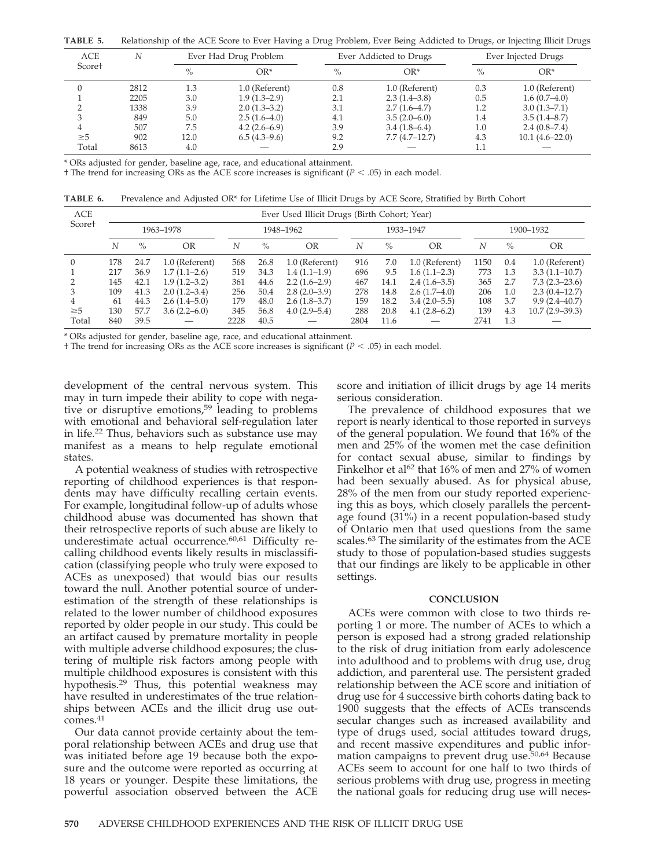**TABLE 5.** Relationship of the ACE Score to Ever Having a Drug Problem, Ever Being Addicted to Drugs, or Injecting Illicit Drugs

| ACE<br>N |      |      | Ever Had Drug Problem |      | Ever Addicted to Drugs |      | Ever Injected Drugs |
|----------|------|------|-----------------------|------|------------------------|------|---------------------|
| Scoret   |      | $\%$ | OR*                   | $\%$ | $OR^*$                 | $\%$ | $OR*$               |
|          | 2812 | 1.3  | 1.0 (Referent)        | 0.8  | 1.0 (Referent)         | 0.3  | 1.0 (Referent)      |
|          | 2205 | 3.0  | $1.9(1.3-2.9)$        | 2.1  | $2.3(1.4-3.8)$         | 0.5  | $1.6(0.7-4.0)$      |
|          | 1338 | 3.9  | $2.0(1.3-3.2)$        | 3.1  | $2.7(1.6-4.7)$         | 1.2  | $3.0(1.3 - 7.1)$    |
|          | 849  | 5.0  | $2.5(1.6-4.0)$        | 4.1  | $3.5(2.0-6.0)$         | 1.4  | 3.5(1.4–8.7)        |
|          | 507  | 7.5  | $4.2(2.6-6.9)$        | 3.9  | $3.4(1.8-6.4)$         | 1.0  | 2.4(0.8–7.4)        |
| $\geq 5$ | 902  | 12.0 | $6.5(4.3-9.6)$        | 9.2  | $7.7(4.7-12.7)$        | 4.3  | $10.1(4.6-22.0)$    |
| Total    | 8613 | 4.0  |                       | 2.9  |                        | 1.1  |                     |

\* ORs adjusted for gender, baseline age, race, and educational attainment.

† The trend for increasing ORs as the ACE score increases is significant ( $P < .05$ ) in each model.

**TABLE 6.** Prevalence and Adjusted OR\* for Lifetime Use of Illicit Drugs by ACE Score, Stratified by Birth Cohort

| <b>ACE</b> | Ever Used Illicit Drugs (Birth Cohort; Year) |      |                  |      |      |                |      |      |                |      |      |                   |
|------------|----------------------------------------------|------|------------------|------|------|----------------|------|------|----------------|------|------|-------------------|
| Scoret     |                                              |      | 1963-1978        |      |      | 1948-1962      |      |      | 1933-1947      |      |      | 1900-1932         |
|            | N                                            | $\%$ | OR               | N    | $\%$ | OR             | N    | $\%$ | OR             | N    | $\%$ | OR                |
| $\Omega$   | 178                                          | 24.7 | 1.0 (Referent)   | 568  | 26.8 | 1.0 (Referent) | 916  | 7.0  | 1.0 (Referent) | 1150 | 0.4  | 1.0 (Referent)    |
|            | 217                                          | 36.9 | $1.7(1.1-2.6)$   | 519  | 34.3 | $1.4(1.1-1.9)$ | 696  | 9.5  | $1.6(1.1-2.3)$ | 773  | 1.3  | $3.3(1.1-10.7)$   |
|            | 145                                          | 42.1 | $1.9(1.2 - 3.2)$ | 361  | 44.6 | $2.2(1.6-2.9)$ | 467  | 14.1 | $2.4(1.6-3.5)$ | 365  | 2.7  | $7.3(2.3-23.6)$   |
|            | 109                                          | 41.3 | $2.0(1.2 - 3.4)$ | 256  | 50.4 | $2.8(2.0-3.9)$ | 278  | 14.8 | $2.6(1.7-4.0)$ | 206  | 1.0  | $2.3(0.4-12.7)$   |
| 4          | 61                                           | 44.3 | 2.6(1.4–5.0)     | 179  | 48.0 | $2.6(1.8-3.7)$ | 159  | 18.2 | $3.4(2.0-5.5)$ | 108  | 3.7  | $9.9(2.4 - 40.7)$ |
| $\geq 5$   | 130                                          | 57.7 | $3.6(2.2-6.0)$   | 345  | 56.8 | $4.0(2.9-5.4)$ | 288  | 20.8 | $4.1(2.8-6.2)$ | 139  | 4.3  | $10.7(2.9-39.3)$  |
| Total      | 840                                          | 39.5 |                  | 2228 | 40.5 |                | 2804 | 11.6 |                | 2741 | 1.3  |                   |

\* ORs adjusted for gender, baseline age, race, and educational attainment.

 $\dagger$  The trend for increasing ORs as the ACE score increases is significant ( $P < .05$ ) in each model.

development of the central nervous system. This may in turn impede their ability to cope with negative or disruptive emotions,<sup>59</sup> leading to problems with emotional and behavioral self-regulation later in life.22 Thus, behaviors such as substance use may manifest as a means to help regulate emotional states.

A potential weakness of studies with retrospective reporting of childhood experiences is that respondents may have difficulty recalling certain events. For example, longitudinal follow-up of adults whose childhood abuse was documented has shown that their retrospective reports of such abuse are likely to underestimate actual occurrence. $60,61$  Difficulty recalling childhood events likely results in misclassification (classifying people who truly were exposed to ACEs as unexposed) that would bias our results toward the null. Another potential source of underestimation of the strength of these relationships is related to the lower number of childhood exposures reported by older people in our study. This could be an artifact caused by premature mortality in people with multiple adverse childhood exposures; the clustering of multiple risk factors among people with multiple childhood exposures is consistent with this hypothesis.29 Thus, this potential weakness may have resulted in underestimates of the true relationships between ACEs and the illicit drug use outcomes.41

Our data cannot provide certainty about the temporal relationship between ACEs and drug use that was initiated before age 19 because both the exposure and the outcome were reported as occurring at 18 years or younger. Despite these limitations, the powerful association observed between the ACE

score and initiation of illicit drugs by age 14 merits serious consideration.

The prevalence of childhood exposures that we report is nearly identical to those reported in surveys of the general population. We found that 16% of the men and 25% of the women met the case definition for contact sexual abuse, similar to findings by Finkelhor et al<sup>62</sup> that 16% of men and 27% of women had been sexually abused. As for physical abuse, 28% of the men from our study reported experiencing this as boys, which closely parallels the percentage found (31%) in a recent population-based study of Ontario men that used questions from the same scales.<sup>63</sup> The similarity of the estimates from the ACE study to those of population-based studies suggests that our findings are likely to be applicable in other settings.

## **CONCLUSION**

ACEs were common with close to two thirds reporting 1 or more. The number of ACEs to which a person is exposed had a strong graded relationship to the risk of drug initiation from early adolescence into adulthood and to problems with drug use, drug addiction, and parenteral use. The persistent graded relationship between the ACE score and initiation of drug use for 4 successive birth cohorts dating back to 1900 suggests that the effects of ACEs transcends secular changes such as increased availability and type of drugs used, social attitudes toward drugs, and recent massive expenditures and public information campaigns to prevent drug use.<sup>50,64</sup> Because ACEs seem to account for one half to two thirds of serious problems with drug use, progress in meeting the national goals for reducing drug use will neces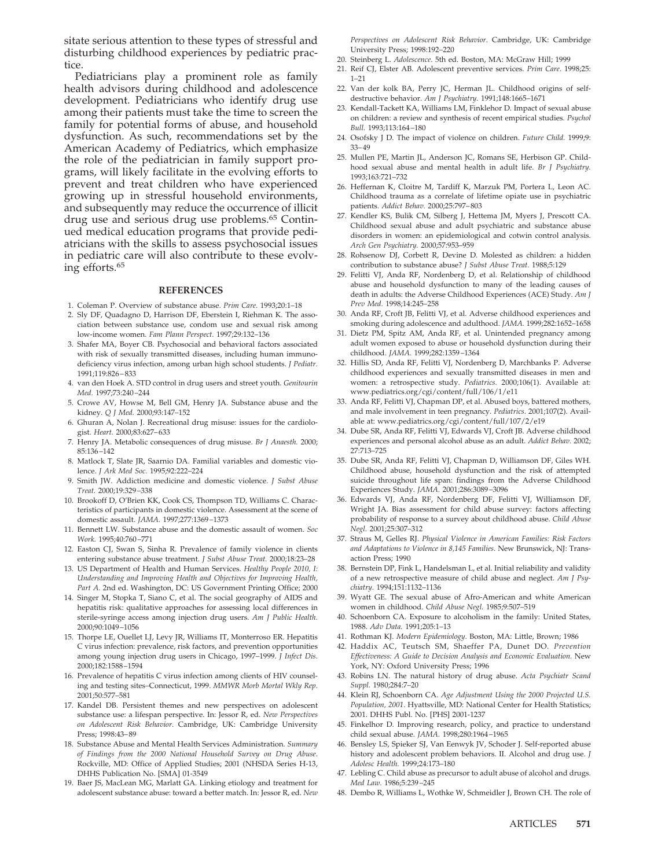sitate serious attention to these types of stressful and disturbing childhood experiences by pediatric practice.

Pediatricians play a prominent role as family health advisors during childhood and adolescence development. Pediatricians who identify drug use among their patients must take the time to screen the family for potential forms of abuse, and household dysfunction. As such, recommendations set by the American Academy of Pediatrics, which emphasize the role of the pediatrician in family support programs, will likely facilitate in the evolving efforts to prevent and treat children who have experienced growing up in stressful household environments, and subsequently may reduce the occurrence of illicit drug use and serious drug use problems.<sup>65</sup> Continued medical education programs that provide pediatricians with the skills to assess psychosocial issues in pediatric care will also contribute to these evolving efforts.65

#### **REFERENCES**

- 1. Coleman P. Overview of substance abuse. *Prim Care.* 1993;20:1–18
- 2. Sly DF, Quadagno D, Harrison DF, Eberstein I, Riehman K. The association between substance use, condom use and sexual risk among low-income women. *Fam Plann Perspect.* 1997;29:132–136
- 3. Shafer MA, Boyer CB. Psychosocial and behavioral factors associated with risk of sexually transmitted diseases, including human immunodeficiency virus infection, among urban high school students. *J Pediatr.* 1991;119:826–833
- 4. van den Hoek A. STD control in drug users and street youth. *Genitourin Med.* 1997;73:240–244
- 5. Crowe AV, Howse M, Bell GM, Henry JA. Substance abuse and the kidney. *Q J Med.* 2000;93:147–152
- 6. Ghuran A, Nolan J. Recreational drug misuse: issues for the cardiologist. *Heart.* 2000;83:627–633
- 7. Henry JA. Metabolic consequences of drug misuse. *Br J Anaesth.* 2000; 85:136–142
- 8. Matlock T, Slate JR, Saarnio DA. Familial variables and domestic violence. *J Ark Med Soc.* 1995;92:222–224
- 9. Smith JW. Addiction medicine and domestic violence. *J Subst Abuse Treat.* 2000;19:329–338
- 10. Brookoff D, O'Brien KK, Cook CS, Thompson TD, Williams C. Characteristics of participants in domestic violence. Assessment at the scene of domestic assault. *JAMA.* 1997;277:1369–1373
- 11. Bennett LW. Substance abuse and the domestic assault of women. *Soc Work.* 1995;40:760–771
- 12. Easton CJ, Swan S, Sinha R. Prevalence of family violence in clients entering substance abuse treatment. *J Subst Abuse Treat.* 2000;18:23–28
- 13. US Department of Health and Human Services. *Healthy People 2010, I: Understanding and Improving Health and Objectives for Improving Health, Part A.* 2nd ed. Washington, DC: US Government Printing Office; 2000
- 14. Singer M, Stopka T, Siano C, et al. The social geography of AIDS and hepatitis risk: qualitative approaches for assessing local differences in sterile-syringe access among injection drug users. *Am J Public Health.* 2000;90:1049–1056
- 15. Thorpe LE, Ouellet LJ, Levy JR, Williams IT, Monterroso ER. Hepatitis C virus infection: prevalence, risk factors, and prevention opportunities among young injection drug users in Chicago, 1997–1999. *J Infect Dis.* 2000;182:1588–1594
- 16. Prevalence of hepatitis C virus infection among clients of HIV counseling and testing sites–Connecticut, 1999. *MMWR Morb Mortal Wkly Rep.* 2001;50:577–581
- 17. Kandel DB. Persistent themes and new perspectives on adolescent substance use: a lifespan perspective. In: Jessor R, ed. *New Perspectives on Adolescent Risk Behavior*. Cambridge, UK: Cambridge University Press; 1998:43–89
- 18. Substance Abuse and Mental Health Services Administration. *Summary of Findings from the 2000 National Household Survey on Drug Abuse*. Rockville, MD: Office of Applied Studies; 2001 (NHSDA Series H-13, DHHS Publication No. [SMA] 01-3549
- 19. Baer JS, MacLean MG, Marlatt GA. Linking etiology and treatment for adolescent substance abuse: toward a better match. In: Jessor R, ed. *New*

*Perspectives on Adolescent Risk Behavior*. Cambridge, UK: Cambridge University Press; 1998:192–220

- 20. Steinberg L. *Adolescence*. 5th ed. Boston, MA: McGraw Hill; 1999
- 21. Reif CJ, Elster AB. Adolescent preventive services. *Prim Care.* 1998;25:  $1 - 21$
- 22. Van der kolk BA, Perry JC, Herman JL. Childhood origins of selfdestructive behavior. *Am J Psychiatry.* 1991;148:1665–1671
- 23. Kendall-Tackett KA, Williams LM, Finklehor D. Impact of sexual abuse on children: a review and synthesis of recent empirical studies. *Psychol Bull.* 1993;113:164–180
- 24. Osofsky J D. The impact of violence on children. *Future Child.* 1999;9: 33–49
- 25. Mullen PE, Martin JL, Anderson JC, Romans SE, Herbison GP. Childhood sexual abuse and mental health in adult life. *Br J Psychiatry.* 1993;163:721–732
- 26. Heffernan K, Cloitre M, Tardiff K, Marzuk PM, Portera L, Leon AC. Childhood trauma as a correlate of lifetime opiate use in psychiatric patients. *Addict Behav.* 2000;25:797–803
- 27. Kendler KS, Bulik CM, Silberg J, Hettema JM, Myers J, Prescott CA. Childhood sexual abuse and adult psychiatric and substance abuse disorders in women: an epidemiological and cotwin control analysis. *Arch Gen Psychiatry.* 2000;57:953–959
- 28. Rohsenow DJ, Corbett R, Devine D. Molested as children: a hidden contribution to substance abuse? *J Subst Abuse Treat.* 1988;5:129
- 29. Felitti VJ, Anda RF, Nordenberg D, et al. Relationship of childhood abuse and household dysfunction to many of the leading causes of death in adults: the Adverse Childhood Experiences (ACE) Study. *Am J Prev Med.* 1998;14:245–258
- 30. Anda RF, Croft JB, Felitti VJ, et al. Adverse childhood experiences and smoking during adolescence and adulthood. *JAMA.* 1999;282:1652–1658
- 31. Dietz PM, Spitz AM, Anda RF, et al. Unintended pregnancy among adult women exposed to abuse or household dysfunction during their childhood. *JAMA.* 1999;282:1359–1364
- 32. Hillis SD, Anda RF, Felitti VJ, Nordenberg D, Marchbanks P. Adverse childhood experiences and sexually transmitted diseases in men and women: a retrospective study. *Pediatrics.* 2000;106(1). Available at: www.pediatrics.org/cgi/content/full/106/1/e11
- 33. Anda RF, Felitti VJ, Chapman DP, et al. Abused boys, battered mothers, and male involvement in teen pregnancy. *Pediatrics.* 2001;107(2). Available at: www.pediatrics.org/cgi/content/full/107/2/e19
- 34. Dube SR, Anda RF, Felitti VJ, Edwards VJ, Croft JB. Adverse childhood experiences and personal alcohol abuse as an adult. *Addict Behav.* 2002; 27:713–725
- 35. Dube SR, Anda RF, Felitti VJ, Chapman D, Williamson DF, Giles WH. Childhood abuse, household dysfunction and the risk of attempted suicide throughout life span: findings from the Adverse Childhood Experiences Study. *JAMA.* 2001;286:3089–3096
- 36. Edwards VJ, Anda RF, Nordenberg DF, Felitti VJ, Williamson DF, Wright JA. Bias assessment for child abuse survey: factors affecting probability of response to a survey about childhood abuse. *Child Abuse Negl.* 2001;25:307–312
- 37. Straus M, Gelles RJ. *Physical Violence in American Families: Risk Factors and Adaptations to Violence in 8,145 Families*. New Brunswick, NJ: Transaction Press; 1990
- 38. Bernstein DP, Fink L, Handelsman L, et al. Initial reliability and validity of a new retrospective measure of child abuse and neglect. *Am J Psychiatry.* 1994;151:1132–1136
- 39. Wyatt GE. The sexual abuse of Afro-American and white American women in childhood. *Child Abuse Negl.* 1985;9:507–519
- 40. Schoenborn CA. Exposure to alcoholism in the family: United States, 1988. *Adv Data.* 1991;205:1–13
- 41. Rothman KJ. *Modern Epidemiology.* Boston, MA: Little, Brown; 1986
- 42. Haddix AC, Teutsch SM, Shaeffer PA, Dunet DO. *Prevention Effectiveness: A Guide to Decision Analysis and Economic Evaluation.* New York, NY: Oxford University Press; 1996
- 43. Robins LN. The natural history of drug abuse. *Acta Psychiatr Scand Suppl.* 1980;284:7–20
- 44. Klein RJ, Schoenborn CA. *Age Adjustment Using the 2000 Projected U.S. Population, 2001*. Hyattsville, MD: National Center for Health Statistics; 2001. DHHS Publ. No. [PHS] 2001-1237
- 45. Finkelhor D. Improving research, policy, and practice to understand child sexual abuse. *JAMA.* 1998;280:1964–1965
- 46. Bensley LS, Spieker SJ, Van Eenwyk JV, Schoder J. Self-reported abuse history and adolescent problem behaviors. II. Alcohol and drug use. *J Adolesc Health.* 1999;24:173–180
- 47. Lebling C. Child abuse as precursor to adult abuse of alcohol and drugs. *Med Law.* 1986;5:239–245
- 48. Dembo R, Williams L, Wothke W, Schmeidler J, Brown CH. The role of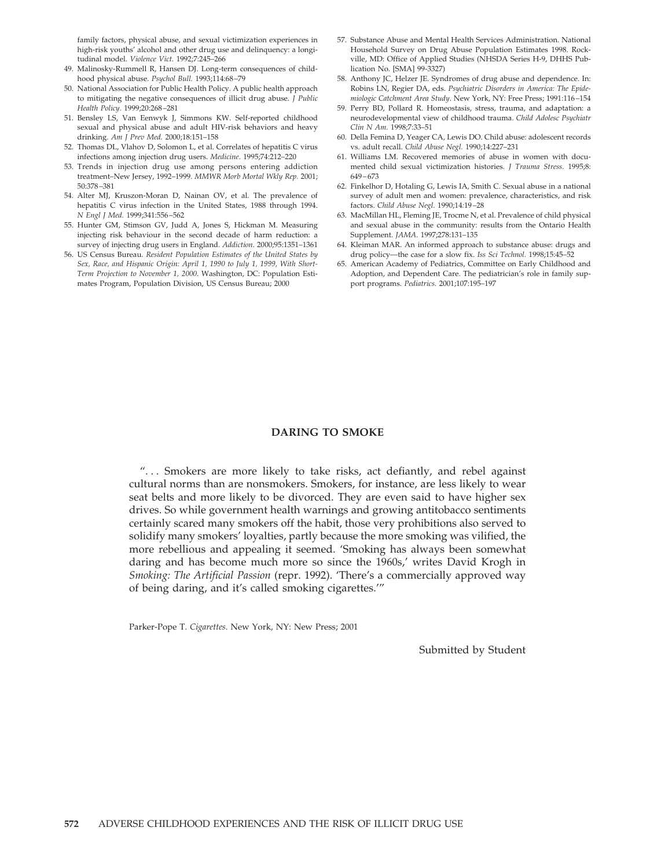family factors, physical abuse, and sexual victimization experiences in high-risk youths' alcohol and other drug use and delinquency: a longitudinal model. *Violence Vict.* 1992;7:245–266

- 49. Malinosky-Rummell R, Hansen DJ. Long-term consequences of childhood physical abuse. *Psychol Bull.* 1993;114:68–79
- 50. National Association for Public Health Policy. A public health approach to mitigating the negative consequences of illicit drug abuse. *J Public Health Policy.* 1999;20:268–281
- 51. Bensley LS, Van Eenwyk J, Simmons KW. Self-reported childhood sexual and physical abuse and adult HIV-risk behaviors and heavy drinking. *Am J Prev Med.* 2000;18:151–158
- 52. Thomas DL, Vlahov D, Solomon L, et al. Correlates of hepatitis C virus infections among injection drug users. *Medicine*. 1995;74:212–220
- 53. Trends in injection drug use among persons entering addiction treatment–New Jersey, 1992–1999. *MMWR Morb Mortal Wkly Rep.* 2001; 50:378–381
- 54. Alter MJ, Kruszon-Moran D, Nainan OV, et al. The prevalence of hepatitis C virus infection in the United States, 1988 through 1994. *N Engl J Med.* 1999;341:556–562
- 55. Hunter GM, Stimson GV, Judd A, Jones S, Hickman M. Measuring injecting risk behaviour in the second decade of harm reduction: a survey of injecting drug users in England. *Addiction.* 2000;95:1351–1361
- 56. US Census Bureau. *Resident Population Estimates of the United States by Sex, Race, and Hispanic Origin: April 1, 1990 to July 1, 1999, With Short-Term Projection to November 1, 2000*. Washington, DC: Population Estimates Program, Population Division, US Census Bureau; 2000
- 57. Substance Abuse and Mental Health Services Administration. National Household Survey on Drug Abuse Population Estimates 1998. Rockville, MD: Office of Applied Studies (NHSDA Series H-9, DHHS Publication No. [SMA] 99-3327)
- 58. Anthony JC, Helzer JE. Syndromes of drug abuse and dependence. In: Robins LN, Regier DA, eds. *Psychiatric Disorders in America: The Epidemiologic Catchment Area Study*. New York, NY: Free Press; 1991:116–154
- 59. Perry BD, Pollard R. Homeostasis, stress, trauma, and adaptation: a neurodevelopmental view of childhood trauma. *Child Adolesc Psychiatr Clin N Am.* 1998;7:33–51
- 60. Della Femina D, Yeager CA, Lewis DO. Child abuse: adolescent records vs. adult recall. *Child Abuse Negl.* 1990;14:227–231
- 61. Williams LM. Recovered memories of abuse in women with documented child sexual victimization histories. *J Trauma Stress.* 1995;8: 649–673
- 62. Finkelhor D, Hotaling G, Lewis IA, Smith C. Sexual abuse in a national survey of adult men and women: prevalence, characteristics, and risk factors. *Child Abuse Negl.* 1990;14*:*19–28
- 63. MacMillan HL, Fleming JE, Trocme N, et al. Prevalence of child physical and sexual abuse in the community: results from the Ontario Health Supplement. *JAMA.* 1997;278:131–135
- 64. Kleiman MAR. An informed approach to substance abuse: drugs and drug policy—the case for a slow fix. *Iss Sci Technol.* 1998;15:45–52
- 65. American Academy of Pediatrics, Committee on Early Childhood and Adoption, and Dependent Care. The pediatrician's role in family support programs. *Pediatrics.* 2001;107:195–197

## **DARING TO SMOKE**

"... Smokers are more likely to take risks, act defiantly, and rebel against cultural norms than are nonsmokers. Smokers, for instance, are less likely to wear seat belts and more likely to be divorced. They are even said to have higher sex drives. So while government health warnings and growing antitobacco sentiments certainly scared many smokers off the habit, those very prohibitions also served to solidify many smokers' loyalties, partly because the more smoking was vilified, the more rebellious and appealing it seemed. 'Smoking has always been somewhat daring and has become much more so since the 1960s,' writes David Krogh in *Smoking: The Artificial Passion* (repr. 1992). 'There's a commercially approved way of being daring, and it's called smoking cigarettes.'"

Parker-Pope T. *Cigarettes*. New York, NY: New Press; 2001

Submitted by Student